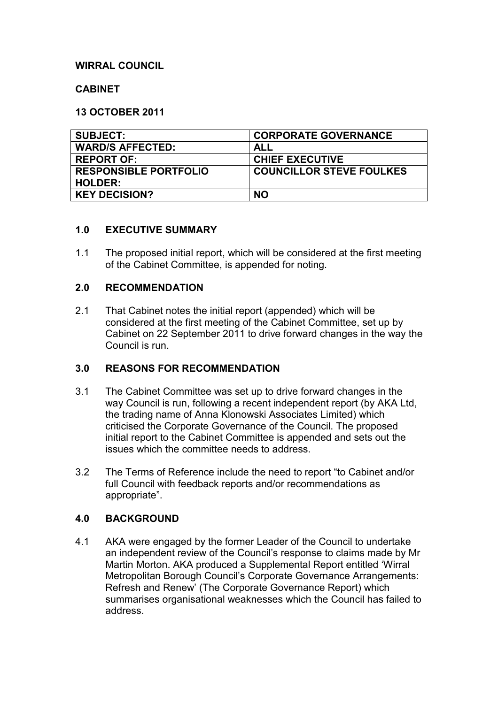# **WIRRAL COUNCIL**

## **CABINET**

### **13 OCTOBER 2011**

| <b>SUBJECT:</b>              | <b>CORPORATE GOVERNANCE</b>     |
|------------------------------|---------------------------------|
| <b>WARD/S AFFECTED:</b>      | ALL                             |
| <b>REPORT OF:</b>            | <b>CHIEF EXECUTIVE</b>          |
| <b>RESPONSIBLE PORTFOLIO</b> | <b>COUNCILLOR STEVE FOULKES</b> |
| <b>HOLDER:</b>               |                                 |
| <b>KEY DECISION?</b>         | <b>NO</b>                       |

### **1.0 EXECUTIVE SUMMARY**

1.1 The proposed initial report, which will be considered at the first meeting of the Cabinet Committee, is appended for noting.

#### **2.0 RECOMMENDATION**

2.1 That Cabinet notes the initial report (appended) which will be considered at the first meeting of the Cabinet Committee, set up by Cabinet on 22 September 2011 to drive forward changes in the way the Council is run.

## **3.0 REASONS FOR RECOMMENDATION**

- 3.1 The Cabinet Committee was set up to drive forward changes in the way Council is run, following a recent independent report (by AKA Ltd, the trading name of Anna Klonowski Associates Limited) which criticised the Corporate Governance of the Council. The proposed initial report to the Cabinet Committee is appended and sets out the issues which the committee needs to address.
- 3.2 The Terms of Reference include the need to report "to Cabinet and/or full Council with feedback reports and/or recommendations as appropriate".

## **4.0 BACKGROUND**

4.1 AKA were engaged by the former Leader of the Council to undertake an independent review of the Council's response to claims made by Mr Martin Morton. AKA produced a Supplemental Report entitled 'Wirral Metropolitan Borough Council's Corporate Governance Arrangements: Refresh and Renew' (The Corporate Governance Report) which summarises organisational weaknesses which the Council has failed to address.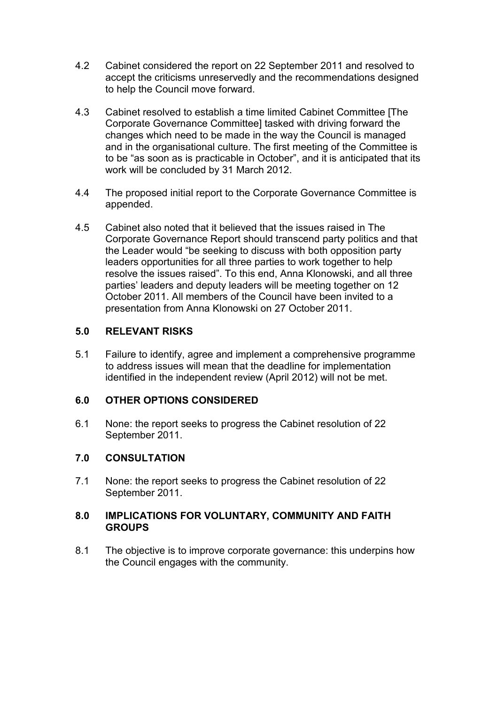- 4.2 Cabinet considered the report on 22 September 2011 and resolved to accept the criticisms unreservedly and the recommendations designed to help the Council move forward.
- 4.3 Cabinet resolved to establish a time limited Cabinet Committee [The Corporate Governance Committee] tasked with driving forward the changes which need to be made in the way the Council is managed and in the organisational culture. The first meeting of the Committee is to be "as soon as is practicable in October", and it is anticipated that its work will be concluded by 31 March 2012.
- 4.4 The proposed initial report to the Corporate Governance Committee is appended.
- 4.5 Cabinet also noted that it believed that the issues raised in The Corporate Governance Report should transcend party politics and that the Leader would "be seeking to discuss with both opposition party leaders opportunities for all three parties to work together to help resolve the issues raised". To this end, Anna Klonowski, and all three parties' leaders and deputy leaders will be meeting together on 12 October 2011. All members of the Council have been invited to a presentation from Anna Klonowski on 27 October 2011.

# **5.0 RELEVANT RISKS**

5.1 Failure to identify, agree and implement a comprehensive programme to address issues will mean that the deadline for implementation identified in the independent review (April 2012) will not be met.

# **6.0 OTHER OPTIONS CONSIDERED**

6.1 None: the report seeks to progress the Cabinet resolution of 22 September 2011.

# **7.0 CONSULTATION**

7.1 None: the report seeks to progress the Cabinet resolution of 22 September 2011.

## **8.0 IMPLICATIONS FOR VOLUNTARY, COMMUNITY AND FAITH GROUPS**

8.1 The objective is to improve corporate governance: this underpins how the Council engages with the community.